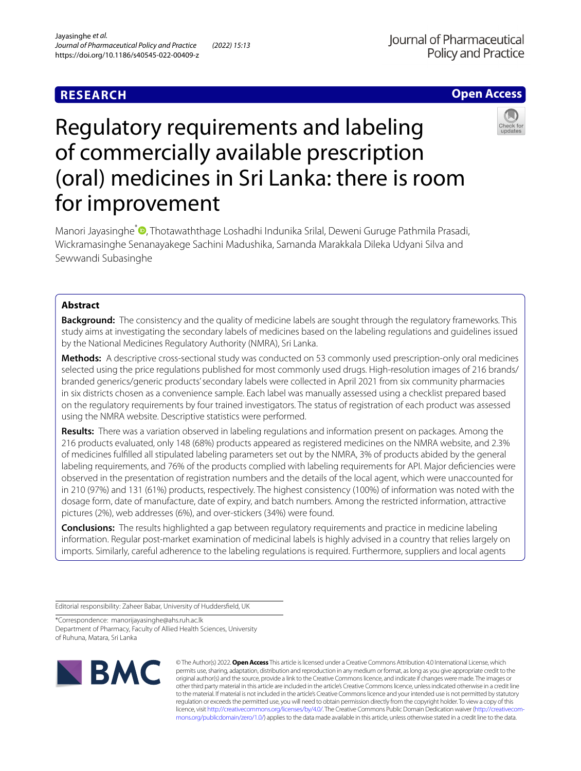# **RESEARCH**

## **Open Access**



# Regulatory requirements and labeling of commercially available prescription (oral) medicines in Sri Lanka: there is room for improvement

Manori Jayasinghe<sup>\*</sup> <sup>(a</sup>[,](http://orcid.org/0000-0001-7372-0701) Thotawaththage Loshadhi Indunika Srilal, Deweni Guruge Pathmila Prasadi, Wickramasinghe Senanayakege Sachini Madushika, Samanda Marakkala Dileka Udyani Silva and Sewwandi Subasinghe

## **Abstract**

**Background:** The consistency and the quality of medicine labels are sought through the regulatory frameworks. This study aims at investigating the secondary labels of medicines based on the labeling regulations and guidelines issued by the National Medicines Regulatory Authority (NMRA), Sri Lanka.

**Methods:** A descriptive cross-sectional study was conducted on 53 commonly used prescription-only oral medicines selected using the price regulations published for most commonly used drugs. High-resolution images of 216 brands/ branded generics/generic products' secondary labels were collected in April 2021 from six community pharmacies in six districts chosen as a convenience sample. Each label was manually assessed using a checklist prepared based on the regulatory requirements by four trained investigators. The status of registration of each product was assessed using the NMRA website. Descriptive statistics were performed.

**Results:** There was a variation observed in labeling regulations and information present on packages. Among the 216 products evaluated, only 148 (68%) products appeared as registered medicines on the NMRA website, and 2.3% of medicines fulflled all stipulated labeling parameters set out by the NMRA, 3% of products abided by the general labeling requirements, and 76% of the products complied with labeling requirements for API. Major defciencies were observed in the presentation of registration numbers and the details of the local agent, which were unaccounted for in 210 (97%) and 131 (61%) products, respectively. The highest consistency (100%) of information was noted with the dosage form, date of manufacture, date of expiry, and batch numbers. Among the restricted information, attractive pictures (2%), web addresses (6%), and over-stickers (34%) were found.

**Conclusions:** The results highlighted a gap between regulatory requirements and practice in medicine labeling information. Regular post-market examination of medicinal labels is highly advised in a country that relies largely on imports. Similarly, careful adherence to the labeling regulations is required. Furthermore, suppliers and local agents

Editorial responsibility: Zaheer Babar, University of Huddersfeld, UK

\*Correspondence: manorijayasinghe@ahs.ruh.ac.lk Department of Pharmacy, Faculty of Allied Health Sciences, University of Ruhuna, Matara, Sri Lanka



© The Author(s) 2022. **Open Access** This article is licensed under a Creative Commons Attribution 4.0 International License, which permits use, sharing, adaptation, distribution and reproduction in any medium or format, as long as you give appropriate credit to the original author(s) and the source, provide a link to the Creative Commons licence, and indicate if changes were made. The images or other third party material in this article are included in the article's Creative Commons licence, unless indicated otherwise in a credit line to the material. If material is not included in the article's Creative Commons licence and your intended use is not permitted by statutory regulation or exceeds the permitted use, you will need to obtain permission directly from the copyright holder. To view a copy of this licence, visit [http://creativecommons.org/licenses/by/4.0/.](http://creativecommons.org/licenses/by/4.0/) The Creative Commons Public Domain Dedication waiver ([http://creativecom](http://creativecommons.org/publicdomain/zero/1.0/)[mons.org/publicdomain/zero/1.0/\)](http://creativecommons.org/publicdomain/zero/1.0/) applies to the data made available in this article, unless otherwise stated in a credit line to the data.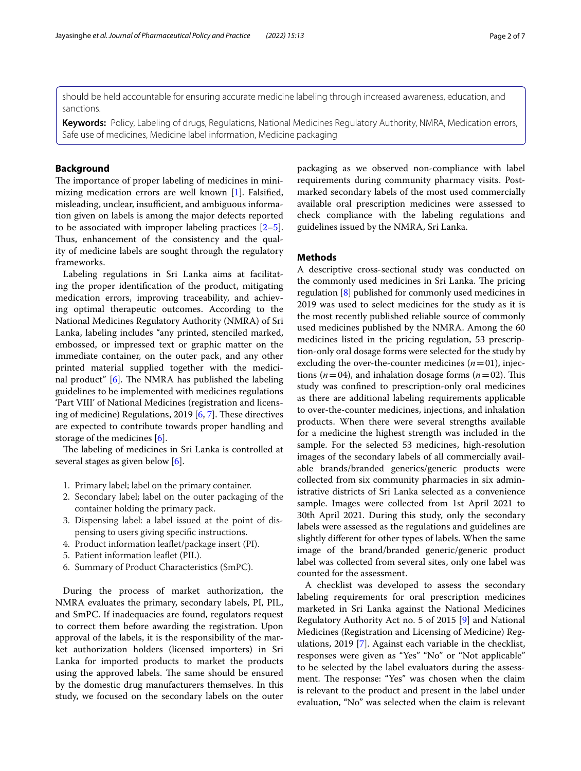should be held accountable for ensuring accurate medicine labeling through increased awareness, education, and sanctions.

**Keywords:** Policy, Labeling of drugs, Regulations, National Medicines Regulatory Authority, NMRA, Medication errors, Safe use of medicines, Medicine label information, Medicine packaging

## **Background**

The importance of proper labeling of medicines in minimizing medication errors are well known [\[1](#page-5-0)]. Falsifed, misleading, unclear, insufficient, and ambiguous information given on labels is among the major defects reported to be associated with improper labeling practices  $[2-5]$  $[2-5]$ . Thus, enhancement of the consistency and the quality of medicine labels are sought through the regulatory frameworks.

Labeling regulations in Sri Lanka aims at facilitating the proper identifcation of the product, mitigating medication errors, improving traceability, and achieving optimal therapeutic outcomes. According to the National Medicines Regulatory Authority (NMRA) of Sri Lanka, labeling includes "any printed, stenciled marked, embossed, or impressed text or graphic matter on the immediate container, on the outer pack, and any other printed material supplied together with the medicinal product"  $[6]$  $[6]$ . The NMRA has published the labeling guidelines to be implemented with medicines regulations 'Part VIII' of National Medicines (registration and licensing of medicine) Regulations, 2019  $[6, 7]$  $[6, 7]$  $[6, 7]$  $[6, 7]$ . These directives are expected to contribute towards proper handling and storage of the medicines [\[6](#page-5-3)].

The labeling of medicines in Sri Lanka is controlled at several stages as given below [[6\]](#page-5-3).

- 1. Primary label; label on the primary container.
- 2. Secondary label; label on the outer packaging of the container holding the primary pack.
- 3. Dispensing label: a label issued at the point of dispensing to users giving specifc instructions.
- 4. Product information leafet/package insert (PI).
- 5. Patient information leafet (PIL).
- 6. Summary of Product Characteristics (SmPC).

During the process of market authorization, the NMRA evaluates the primary, secondary labels, PI, PIL, and SmPC. If inadequacies are found, regulators request to correct them before awarding the registration. Upon approval of the labels, it is the responsibility of the market authorization holders (licensed importers) in Sri Lanka for imported products to market the products using the approved labels. The same should be ensured by the domestic drug manufacturers themselves. In this study, we focused on the secondary labels on the outer

packaging as we observed non-compliance with label requirements during community pharmacy visits. Postmarked secondary labels of the most used commercially available oral prescription medicines were assessed to check compliance with the labeling regulations and guidelines issued by the NMRA, Sri Lanka.

## **Methods**

A descriptive cross-sectional study was conducted on the commonly used medicines in Sri Lanka. The pricing regulation [\[8](#page-5-5)] published for commonly used medicines in 2019 was used to select medicines for the study as it is the most recently published reliable source of commonly used medicines published by the NMRA. Among the 60 medicines listed in the pricing regulation, 53 prescription-only oral dosage forms were selected for the study by excluding the over-the-counter medicines  $(n=01)$ , injections ( $n=04$ ), and inhalation dosage forms ( $n=02$ ). This study was confned to prescription-only oral medicines as there are additional labeling requirements applicable to over-the-counter medicines, injections, and inhalation products. When there were several strengths available for a medicine the highest strength was included in the sample. For the selected 53 medicines, high-resolution images of the secondary labels of all commercially available brands/branded generics/generic products were collected from six community pharmacies in six administrative districts of Sri Lanka selected as a convenience sample. Images were collected from 1st April 2021 to 30th April 2021. During this study, only the secondary labels were assessed as the regulations and guidelines are slightly diferent for other types of labels. When the same image of the brand/branded generic/generic product label was collected from several sites, only one label was counted for the assessment.

A checklist was developed to assess the secondary labeling requirements for oral prescription medicines marketed in Sri Lanka against the National Medicines Regulatory Authority Act no. 5 of 2015 [[9\]](#page-6-0) and National Medicines (Registration and Licensing of Medicine) Regulations, 2019 [[7\]](#page-5-4). Against each variable in the checklist, responses were given as "Yes" "No" or "Not applicable" to be selected by the label evaluators during the assessment. The response: "Yes" was chosen when the claim is relevant to the product and present in the label under evaluation, "No" was selected when the claim is relevant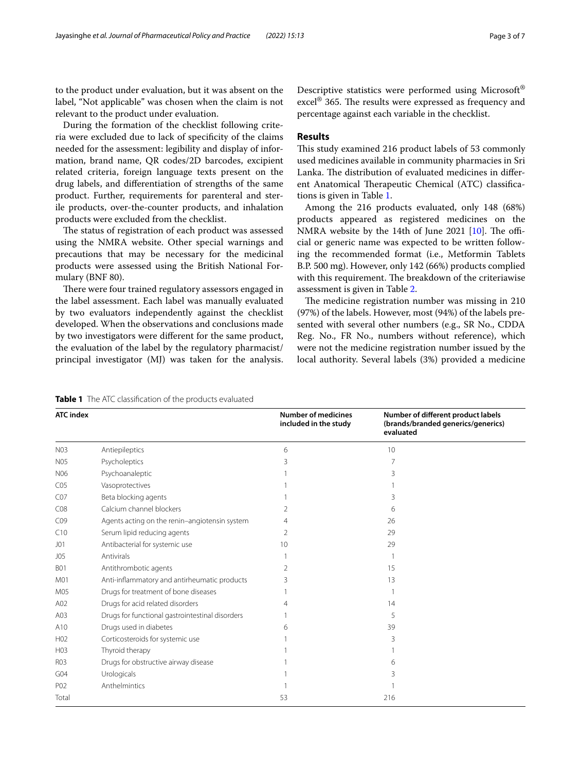to the product under evaluation, but it was absent on the label, "Not applicable" was chosen when the claim is not relevant to the product under evaluation.

During the formation of the checklist following criteria were excluded due to lack of specifcity of the claims needed for the assessment: legibility and display of information, brand name, QR codes/2D barcodes, excipient related criteria, foreign language texts present on the drug labels, and diferentiation of strengths of the same product. Further, requirements for parenteral and sterile products, over-the-counter products, and inhalation products were excluded from the checklist.

The status of registration of each product was assessed using the NMRA website. Other special warnings and precautions that may be necessary for the medicinal products were assessed using the British National Formulary (BNF 80).

There were four trained regulatory assessors engaged in the label assessment. Each label was manually evaluated by two evaluators independently against the checklist developed. When the observations and conclusions made by two investigators were diferent for the same product, the evaluation of the label by the regulatory pharmacist/ principal investigator (MJ) was taken for the analysis. Descriptive statistics were performed using Microsoft®  $excel^{\circledR}$  365. The results were expressed as frequency and percentage against each variable in the checklist.

## **Results**

This study examined 216 product labels of 53 commonly used medicines available in community pharmacies in Sri Lanka. The distribution of evaluated medicines in different Anatomical Therapeutic Chemical (ATC) classifications is given in Table [1](#page-2-0).

Among the 216 products evaluated, only 148 (68%) products appeared as registered medicines on the NMRA website by the 14th of June 2021  $[10]$  $[10]$ . The official or generic name was expected to be written following the recommended format (i.e., Metformin Tablets B.P. 500 mg). However, only 142 (66%) products complied with this requirement. The breakdown of the criteriawise assessment is given in Table [2](#page-3-0).

The medicine registration number was missing in 210 (97%) of the labels. However, most (94%) of the labels presented with several other numbers (e.g., SR No., CDDA Reg. No., FR No., numbers without reference), which were not the medicine registration number issued by the local authority. Several labels (3%) provided a medicine

<span id="page-2-0"></span>**Table 1** The ATC classifcation of the products evaluated

| <b>ATC</b> index |                                                 | <b>Number of medicines</b><br>included in the study | Number of different product labels<br>(brands/branded generics/generics)<br>evaluated |  |
|------------------|-------------------------------------------------|-----------------------------------------------------|---------------------------------------------------------------------------------------|--|
| <b>N03</b>       | Antiepileptics                                  | 6                                                   | 10                                                                                    |  |
| <b>N05</b>       | Psycholeptics                                   | 3                                                   | 7                                                                                     |  |
| N06              | Psychoanaleptic                                 |                                                     | 3                                                                                     |  |
| CO <sub>5</sub>  | Vasoprotectives                                 |                                                     |                                                                                       |  |
| CO <sub>7</sub>  | Beta blocking agents                            |                                                     | 3                                                                                     |  |
| CO8              | Calcium channel blockers                        |                                                     | 6                                                                                     |  |
| CO9              | Agents acting on the renin-angiotensin system   |                                                     | 26                                                                                    |  |
| C10              | Serum lipid reducing agents                     | 2                                                   | 29                                                                                    |  |
| JO1              | Antibacterial for systemic use                  | 10                                                  | 29                                                                                    |  |
| J05              | Antivirals                                      |                                                     |                                                                                       |  |
| <b>B01</b>       | Antithrombotic agents                           |                                                     | 15                                                                                    |  |
| M01              | Anti-inflammatory and antirheumatic products    |                                                     | 13                                                                                    |  |
| M05              | Drugs for treatment of bone diseases            |                                                     |                                                                                       |  |
| A02              | Drugs for acid related disorders                |                                                     | 14                                                                                    |  |
| A03              | Drugs for functional gastrointestinal disorders |                                                     | 5                                                                                     |  |
| A10              | Drugs used in diabetes                          |                                                     | 39                                                                                    |  |
| H <sub>02</sub>  | Corticosteroids for systemic use                |                                                     | 3                                                                                     |  |
| H <sub>0</sub> 3 | Thyroid therapy                                 |                                                     |                                                                                       |  |
| R03              | Drugs for obstructive airway disease            |                                                     | 6                                                                                     |  |
| G <sub>04</sub>  | Urologicals                                     |                                                     |                                                                                       |  |
| P02              | Anthelmintics                                   |                                                     |                                                                                       |  |
| Total            |                                                 | 53                                                  | 216                                                                                   |  |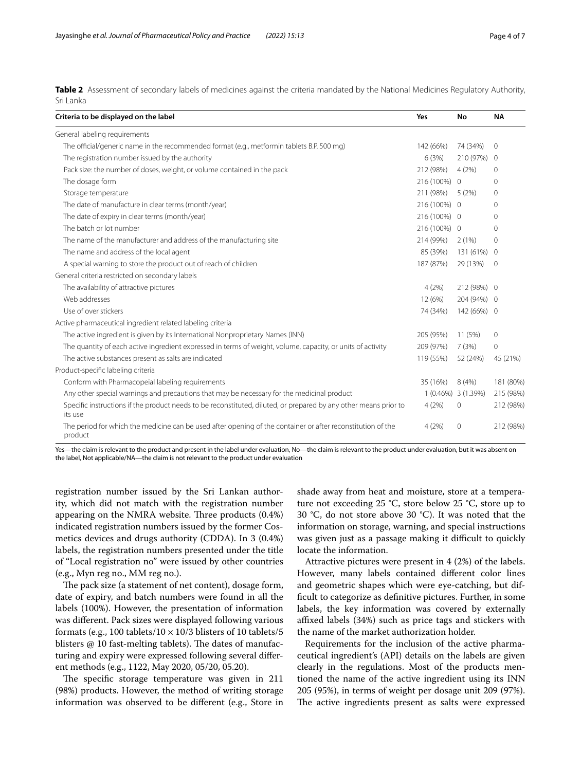<span id="page-3-0"></span>**Table 2** Assessment of secondary labels of medicines against the criteria mandated by the National Medicines Regulatory Authority, Sri Lanka

| Criteria to be displayed on the label                                                                                       | Yes          | No                  | <b>NA</b>      |
|-----------------------------------------------------------------------------------------------------------------------------|--------------|---------------------|----------------|
| General labeling requirements                                                                                               |              |                     |                |
| The official/generic name in the recommended format (e.g., metformin tablets B.P. 500 mg)                                   | 142 (66%)    | 74 (34%)            | $\circ$        |
| The registration number issued by the authority                                                                             | 6(3%)        | 210 (97%)           | $\Omega$       |
| Pack size: the number of doses, weight, or volume contained in the pack                                                     | 212 (98%)    | 4(2%)               | $\Omega$       |
| The dosage form                                                                                                             | 216 (100%)   | $\overline{0}$      | 0              |
| Storage temperature                                                                                                         | 211 (98%)    | 5(2%)               | 0              |
| The date of manufacture in clear terms (month/year)                                                                         | 216 (100%) 0 |                     | 0              |
| The date of expiry in clear terms (month/year)                                                                              | 216 (100%) 0 |                     | $\Omega$       |
| The batch or lot number                                                                                                     | 216 (100%) 0 |                     | 0              |
| The name of the manufacturer and address of the manufacturing site                                                          | 214 (99%)    | 2(1%)               | 0              |
| The name and address of the local agent                                                                                     | 85 (39%)     | 131 (61%)           | $\mathbf{0}$   |
| A special warning to store the product out of reach of children                                                             | 187 (87%)    | 29 (13%)            | $\overline{0}$ |
| General criteria restricted on secondary labels                                                                             |              |                     |                |
| The availability of attractive pictures                                                                                     | 4(2%)        | 212 (98%) 0         |                |
| Web addresses                                                                                                               | 12 (6%)      | 204 (94%) 0         |                |
| Use of over stickers                                                                                                        | 74 (34%)     | 142 (66%) 0         |                |
| Active pharmaceutical ingredient related labeling criteria                                                                  |              |                     |                |
| The active ingredient is given by its International Nonproprietary Names (INN)                                              | 205 (95%)    | 11 (5%)             | 0              |
| The quantity of each active ingredient expressed in terms of weight, volume, capacity, or units of activity                 | 209 (97%)    | 7(3%)               | 0              |
| The active substances present as salts are indicated                                                                        | 119 (55%)    | 52 (24%)            | 45 (21%)       |
| Product-specific labeling criteria                                                                                          |              |                     |                |
| Conform with Pharmacopeial labeling requirements                                                                            | 35 (16%)     | 8(4%)               | 181 (80%)      |
| Any other special warnings and precautions that may be necessary for the medicinal product                                  |              | 1 (0.46%) 3 (1.39%) | 215 (98%)      |
| Specific instructions if the product needs to be reconstituted, diluted, or prepared by any other means prior to<br>its use | 4(2%)        | $\mathbf{0}$        | 212 (98%)      |
| The period for which the medicine can be used after opening of the container or after reconstitution of the<br>product      | 4(2%)        | 0                   | 212 (98%)      |

Yes—the claim is relevant to the product and present in the label under evaluation, No—the claim is relevant to the product under evaluation, but it was absent on the label, Not applicable/NA—the claim is not relevant to the product under evaluation

registration number issued by the Sri Lankan authority, which did not match with the registration number appearing on the NMRA website. Three products  $(0.4%)$ indicated registration numbers issued by the former Cosmetics devices and drugs authority (CDDA). In 3 (0.4%) labels, the registration numbers presented under the title of "Local registration no" were issued by other countries (e.g., Myn reg no., MM reg no.).

The pack size (a statement of net content), dosage form, date of expiry, and batch numbers were found in all the labels (100%). However, the presentation of information was diferent. Pack sizes were displayed following various formats (e.g., 100 tablets/10  $\times$  10/3 blisters of 10 tablets/5 blisters  $@$  10 fast-melting tablets). The dates of manufacturing and expiry were expressed following several diferent methods (e.g., 1122, May 2020, 05/20, 05.20).

The specific storage temperature was given in 211 (98%) products. However, the method of writing storage information was observed to be diferent (e.g., Store in shade away from heat and moisture, store at a temperature not exceeding 25 °C, store below 25 °C, store up to 30 °C, do not store above 30 °C). It was noted that the information on storage, warning, and special instructions was given just as a passage making it difficult to quickly locate the information.

Attractive pictures were present in 4 (2%) of the labels. However, many labels contained diferent color lines and geometric shapes which were eye-catching, but diffcult to categorize as defnitive pictures. Further, in some labels, the key information was covered by externally affixed labels (34%) such as price tags and stickers with the name of the market authorization holder.

Requirements for the inclusion of the active pharmaceutical ingredient's (API) details on the labels are given clearly in the regulations. Most of the products mentioned the name of the active ingredient using its INN 205 (95%), in terms of weight per dosage unit 209 (97%). The active ingredients present as salts were expressed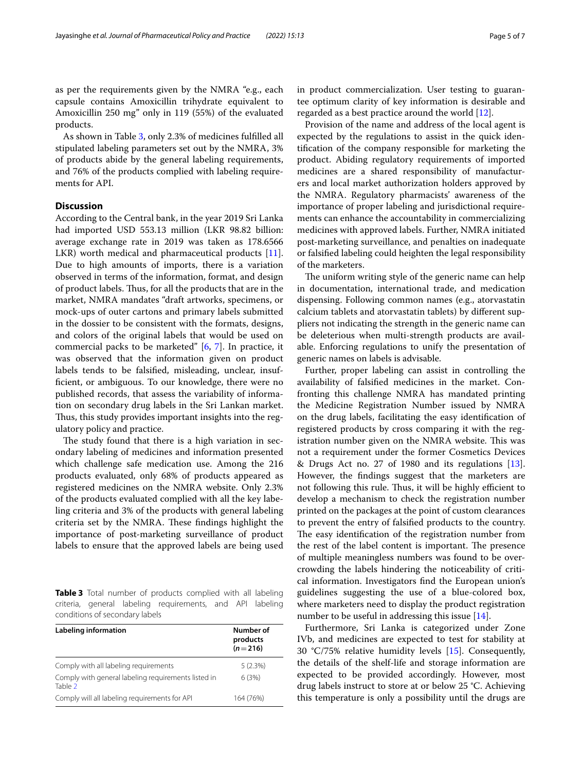as per the requirements given by the NMRA "e.g., each capsule contains Amoxicillin trihydrate equivalent to Amoxicillin 250 mg" only in 119 (55%) of the evaluated products.

As shown in Table [3,](#page-4-0) only 2.3% of medicines fulflled all stipulated labeling parameters set out by the NMRA, 3% of products abide by the general labeling requirements, and 76% of the products complied with labeling requirements for API.

## **Discussion**

According to the Central bank, in the year 2019 Sri Lanka had imported USD 553.13 million (LKR 98.82 billion: average exchange rate in 2019 was taken as 178.6566 LKR) worth medical and pharmaceutical products [\[11](#page-6-2)]. Due to high amounts of imports, there is a variation observed in terms of the information, format, and design of product labels. Thus, for all the products that are in the market, NMRA mandates "draft artworks, specimens, or mock-ups of outer cartons and primary labels submitted in the dossier to be consistent with the formats, designs, and colors of the original labels that would be used on commercial packs to be marketed" [\[6](#page-5-3), [7\]](#page-5-4). In practice, it was observed that the information given on product labels tends to be falsifed, misleading, unclear, insuffcient, or ambiguous. To our knowledge, there were no published records, that assess the variability of information on secondary drug labels in the Sri Lankan market. Thus, this study provides important insights into the regulatory policy and practice.

The study found that there is a high variation in secondary labeling of medicines and information presented which challenge safe medication use. Among the 216 products evaluated, only 68% of products appeared as registered medicines on the NMRA website. Only 2.3% of the products evaluated complied with all the key labeling criteria and 3% of the products with general labeling criteria set by the NMRA. These findings highlight the importance of post-marketing surveillance of product labels to ensure that the approved labels are being used

<span id="page-4-0"></span>**Table 3** Total number of products complied with all labeling criteria, general labeling requirements, and API labeling conditions of secondary labels

| Labeling information                                           | Number of<br>products<br>$(n=216)$ |  |
|----------------------------------------------------------------|------------------------------------|--|
| Comply with all labeling requirements                          | 5(2.3%)                            |  |
| Comply with general labeling requirements listed in<br>Table 2 | 6(3%)                              |  |
| Comply will all labeling requirements for API                  | 164 (76%)                          |  |

in product commercialization. User testing to guarantee optimum clarity of key information is desirable and regarded as a best practice around the world  $[12]$ .

Provision of the name and address of the local agent is expected by the regulations to assist in the quick identifcation of the company responsible for marketing the product. Abiding regulatory requirements of imported medicines are a shared responsibility of manufacturers and local market authorization holders approved by the NMRA. Regulatory pharmacists' awareness of the importance of proper labeling and jurisdictional requirements can enhance the accountability in commercializing medicines with approved labels. Further, NMRA initiated post-marketing surveillance, and penalties on inadequate or falsifed labeling could heighten the legal responsibility of the marketers.

The uniform writing style of the generic name can help in documentation, international trade, and medication dispensing. Following common names (e.g., atorvastatin calcium tablets and atorvastatin tablets) by diferent suppliers not indicating the strength in the generic name can be deleterious when multi-strength products are available. Enforcing regulations to unify the presentation of generic names on labels is advisable.

Further, proper labeling can assist in controlling the availability of falsifed medicines in the market. Confronting this challenge NMRA has mandated printing the Medicine Registration Number issued by NMRA on the drug labels, facilitating the easy identifcation of registered products by cross comparing it with the registration number given on the NMRA website. This was not a requirement under the former Cosmetics Devices & Drugs Act no. 27 of 1980 and its regulations [\[13](#page-6-4)]. However, the fndings suggest that the marketers are not following this rule. Thus, it will be highly efficient to develop a mechanism to check the registration number printed on the packages at the point of custom clearances to prevent the entry of falsifed products to the country. The easy identification of the registration number from the rest of the label content is important. The presence of multiple meaningless numbers was found to be overcrowding the labels hindering the noticeability of critical information. Investigators fnd the European union's guidelines suggesting the use of a blue-colored box, where marketers need to display the product registration number to be useful in addressing this issue [\[14](#page-6-5)].

Furthermore, Sri Lanka is categorized under Zone IVb, and medicines are expected to test for stability at 30 °C/75% relative humidity levels [[15](#page-6-6)]. Consequently, the details of the shelf-life and storage information are expected to be provided accordingly. However, most drug labels instruct to store at or below 25 °C. Achieving this temperature is only a possibility until the drugs are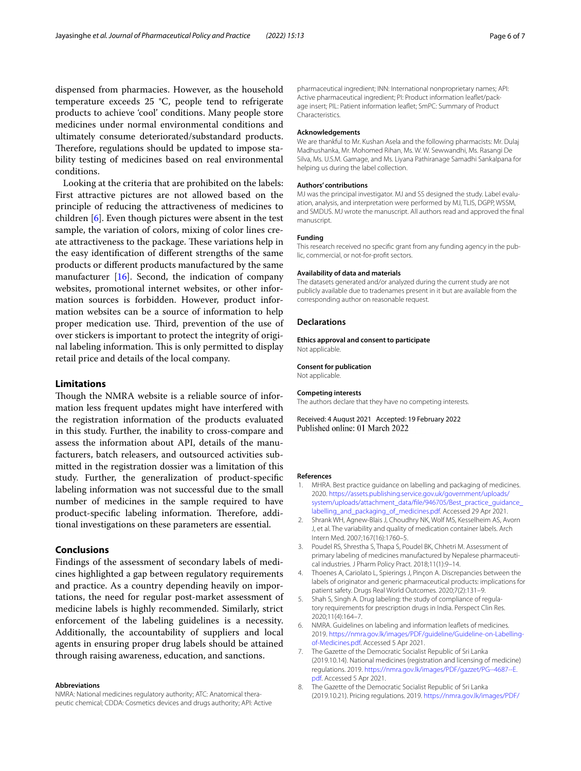dispensed from pharmacies. However, as the household temperature exceeds 25 °C, people tend to refrigerate products to achieve 'cool' conditions. Many people store medicines under normal environmental conditions and ultimately consume deteriorated/substandard products. Therefore, regulations should be updated to impose stability testing of medicines based on real environmental conditions.

Looking at the criteria that are prohibited on the labels: First attractive pictures are not allowed based on the principle of reducing the attractiveness of medicines to children [\[6](#page-5-3)]. Even though pictures were absent in the test sample, the variation of colors, mixing of color lines create attractiveness to the package. These variations help in the easy identifcation of diferent strengths of the same products or diferent products manufactured by the same manufacturer [\[16](#page-6-7)]. Second, the indication of company websites, promotional internet websites, or other information sources is forbidden. However, product information websites can be a source of information to help proper medication use. Third, prevention of the use of over stickers is important to protect the integrity of original labeling information. This is only permitted to display retail price and details of the local company.

## **Limitations**

Though the NMRA website is a reliable source of information less frequent updates might have interfered with the registration information of the products evaluated in this study. Further, the inability to cross-compare and assess the information about API, details of the manufacturers, batch releasers, and outsourced activities submitted in the registration dossier was a limitation of this study. Further, the generalization of product-specifc labeling information was not successful due to the small number of medicines in the sample required to have product-specific labeling information. Therefore, additional investigations on these parameters are essential.

## **Conclusions**

Findings of the assessment of secondary labels of medicines highlighted a gap between regulatory requirements and practice. As a country depending heavily on importations, the need for regular post-market assessment of medicine labels is highly recommended. Similarly, strict enforcement of the labeling guidelines is a necessity. Additionally, the accountability of suppliers and local agents in ensuring proper drug labels should be attained through raising awareness, education, and sanctions.

#### **Abbreviations**

NMRA: National medicines regulatory authority; ATC: Anatomical therapeutic chemical; CDDA: Cosmetics devices and drugs authority; API: Active

pharmaceutical ingredient; INN: International nonproprietary names; API: Active pharmaceutical ingredient; PI: Product information leafet/package insert; PIL: Patient information leafet; SmPC: Summary of Product Characteristics.

#### **Acknowledgements**

We are thankful to Mr. Kushan Asela and the following pharmacists: Mr. Dulaj Madhushanka, Mr. Mohomed Rihan, Ms. W. W. Sewwandhi, Ms. Rasangi De Silva, Ms. U.S.M. Gamage, and Ms. Liyana Pathiranage Samadhi Sankalpana for helping us during the label collection.

#### **Authors' contributions**

MJ was the principal investigator. MJ and SS designed the study. Label evaluation, analysis, and interpretation were performed by MJ, TLIS, DGPP, WSSM, and SMDUS. MJ wrote the manuscript. All authors read and approved the fnal manuscript.

## **Funding**

This research received no specifc grant from any funding agency in the public, commercial, or not-for-proft sectors.

#### **Availability of data and materials**

The datasets generated and/or analyzed during the current study are not publicly available due to tradenames present in it but are available from the corresponding author on reasonable request.

#### **Declarations**

#### **Ethics approval and consent to participate** Not applicable.

#### **Consent for publication**

Not applicable.

#### **Competing interests**

The authors declare that they have no competing interests.

Received: 4 August 2021 Accepted: 19 February 2022 Published online: 01 March 2022

#### **References**

- <span id="page-5-0"></span>1. MHRA. Best practice guidance on labelling and packaging of medicines. 2020. [https://assets.publishing.service.gov.uk/government/uploads/](https://assets.publishing.service.gov.uk/government/uploads/system/uploads/attachment_data/file/946705/Best_practice_guidance_labelling_and_packaging_of_medicines.pdf) [system/uploads/attachment\\_data/fle/946705/Best\\_practice\\_guidance\\_](https://assets.publishing.service.gov.uk/government/uploads/system/uploads/attachment_data/file/946705/Best_practice_guidance_labelling_and_packaging_of_medicines.pdf) [labelling\\_and\\_packaging\\_of\\_medicines.pdf](https://assets.publishing.service.gov.uk/government/uploads/system/uploads/attachment_data/file/946705/Best_practice_guidance_labelling_and_packaging_of_medicines.pdf). Accessed 29 Apr 2021.
- <span id="page-5-1"></span>2. Shrank WH, Agnew-Blais J, Choudhry NK, Wolf MS, Kesselheim AS, Avorn J, et al. The variability and quality of medication container labels. Arch Intern Med. 2007;167(16):1760–5.
- 3. Poudel RS, Shrestha S, Thapa S, Poudel BK, Chhetri M. Assessment of primary labeling of medicines manufactured by Nepalese pharmaceutical industries. J Pharm Policy Pract. 2018;11(1):9–14.
- 4. Thoenes A, Cariolato L, Spierings J, Pinçon A. Discrepancies between the labels of originator and generic pharmaceutical products: implications for patient safety. Drugs Real World Outcomes. 2020;7(2):131–9.
- <span id="page-5-2"></span>Shah S, Singh A. Drug labeling: the study of compliance of regulatory requirements for prescription drugs in India. Perspect Clin Res. 2020;11(4):164–7.
- <span id="page-5-3"></span>6. NMRA. Guidelines on labeling and information leafets of medicines. 2019. [https://nmra.gov.lk/images/PDF/guideline/Guideline-on-Labelling](https://nmra.gov.lk/images/PDF/guideline/Guideline-on-Labelling-of-Medicines.pdf)[of-Medicines.pdf.](https://nmra.gov.lk/images/PDF/guideline/Guideline-on-Labelling-of-Medicines.pdf) Accessed 5 Apr 2021.
- <span id="page-5-4"></span>7. The Gazette of the Democratic Socialist Republic of Sri Lanka (2019.10.14). National medicines (registration and licensing of medicine) regulations. 2019. [https://nmra.gov.lk/images/PDF/gazzet/PG--4687--E.](https://nmra.gov.lk/images/PDF/gazzet/PG--4687--E.pdf) [pdf.](https://nmra.gov.lk/images/PDF/gazzet/PG--4687--E.pdf) Accessed 5 Apr 2021.
- <span id="page-5-5"></span>8. The Gazette of the Democratic Socialist Republic of Sri Lanka (2019.10.21). Pricing regulations. 2019. [https://nmra.gov.lk/images/PDF/](https://nmra.gov.lk/images/PDF/gazzet/nmraGazzete/Pricing-Regulations--Gazette-No--2146-3.pdf)